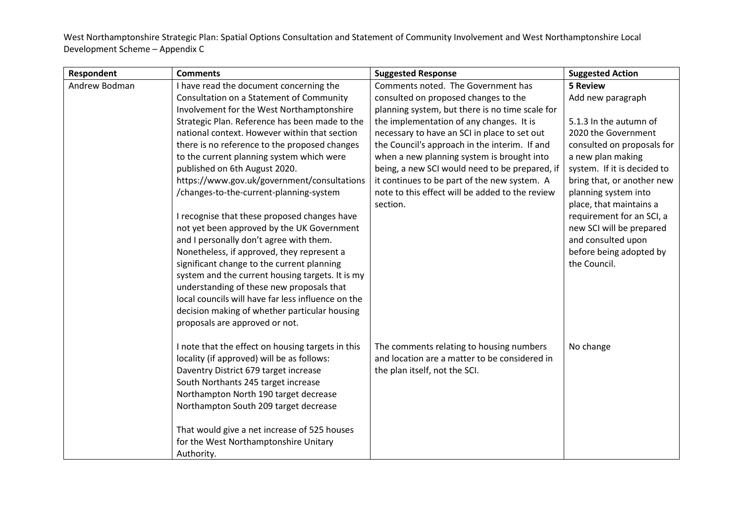| Respondent    | <b>Comments</b>                                                                                     | <b>Suggested Response</b>                                                                 | <b>Suggested Action</b>     |
|---------------|-----------------------------------------------------------------------------------------------------|-------------------------------------------------------------------------------------------|-----------------------------|
| Andrew Bodman | I have read the document concerning the                                                             | Comments noted. The Government has                                                        | <b>5 Review</b>             |
|               | Consultation on a Statement of Community                                                            | consulted on proposed changes to the                                                      | Add new paragraph           |
|               | Involvement for the West Northamptonshire                                                           | planning system, but there is no time scale for                                           |                             |
|               | Strategic Plan. Reference has been made to the                                                      | the implementation of any changes. It is                                                  | 5.1.3 In the autumn of      |
|               | national context. However within that section                                                       | necessary to have an SCI in place to set out                                              | 2020 the Government         |
|               | there is no reference to the proposed changes                                                       | the Council's approach in the interim. If and                                             | consulted on proposals for  |
|               | to the current planning system which were                                                           | when a new planning system is brought into                                                | a new plan making           |
|               | published on 6th August 2020.                                                                       | being, a new SCI would need to be prepared, if                                            | system. If it is decided to |
|               | https://www.gov.uk/government/consultations                                                         | it continues to be part of the new system. A                                              | bring that, or another new  |
|               | /changes-to-the-current-planning-system                                                             | note to this effect will be added to the review                                           | planning system into        |
|               |                                                                                                     | section.                                                                                  | place, that maintains a     |
|               | I recognise that these proposed changes have                                                        |                                                                                           | requirement for an SCI, a   |
|               | not yet been approved by the UK Government                                                          |                                                                                           | new SCI will be prepared    |
|               | and I personally don't agree with them.                                                             |                                                                                           | and consulted upon          |
|               | Nonetheless, if approved, they represent a                                                          |                                                                                           | before being adopted by     |
|               | significant change to the current planning                                                          |                                                                                           | the Council.                |
|               | system and the current housing targets. It is my                                                    |                                                                                           |                             |
|               | understanding of these new proposals that                                                           |                                                                                           |                             |
|               | local councils will have far less influence on the                                                  |                                                                                           |                             |
|               | decision making of whether particular housing                                                       |                                                                                           |                             |
|               | proposals are approved or not.                                                                      |                                                                                           |                             |
|               | I note that the effect on housing targets in this<br>locality (if approved) will be as follows:     | The comments relating to housing numbers<br>and location are a matter to be considered in | No change                   |
|               | Daventry District 679 target increase                                                               | the plan itself, not the SCI.                                                             |                             |
|               | South Northants 245 target increase                                                                 |                                                                                           |                             |
|               | Northampton North 190 target decrease                                                               |                                                                                           |                             |
|               | Northampton South 209 target decrease                                                               |                                                                                           |                             |
|               | That would give a net increase of 525 houses<br>for the West Northamptonshire Unitary<br>Authority. |                                                                                           |                             |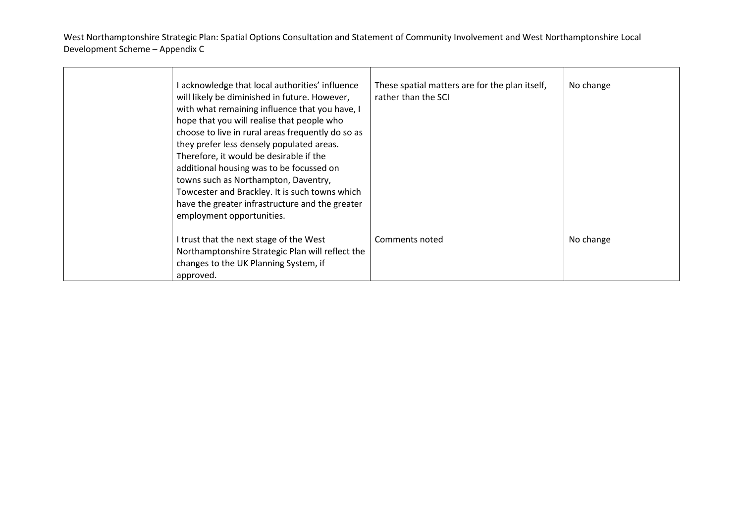| I acknowledge that local authorities' influence<br>will likely be diminished in future. However,<br>with what remaining influence that you have, I<br>hope that you will realise that people who<br>choose to live in rural areas frequently do so as<br>they prefer less densely populated areas.<br>Therefore, it would be desirable if the<br>additional housing was to be focussed on<br>towns such as Northampton, Daventry,<br>Towcester and Brackley. It is such towns which<br>have the greater infrastructure and the greater<br>employment opportunities. | These spatial matters are for the plan itself,<br>rather than the SCI | No change |
|---------------------------------------------------------------------------------------------------------------------------------------------------------------------------------------------------------------------------------------------------------------------------------------------------------------------------------------------------------------------------------------------------------------------------------------------------------------------------------------------------------------------------------------------------------------------|-----------------------------------------------------------------------|-----------|
| I trust that the next stage of the West<br>Northamptonshire Strategic Plan will reflect the<br>changes to the UK Planning System, if<br>approved.                                                                                                                                                                                                                                                                                                                                                                                                                   | Comments noted                                                        | No change |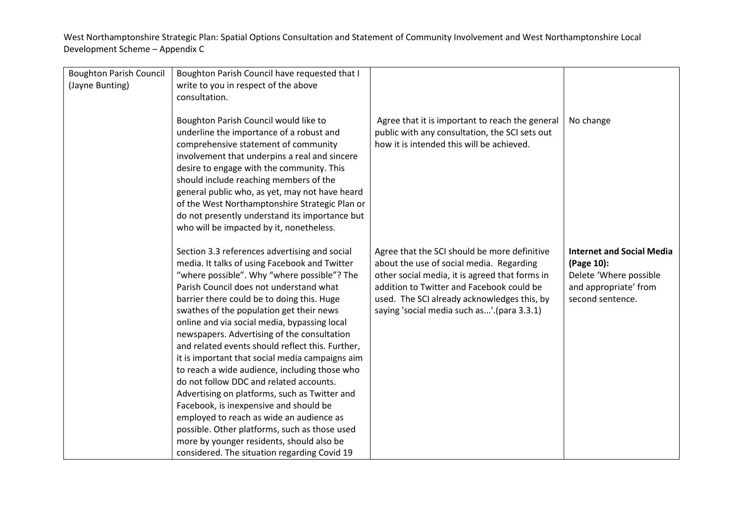| <b>Boughton Parish Council</b><br>(Jayne Bunting) | Boughton Parish Council have requested that I<br>write to you in respect of the above<br>consultation.                                                                                                                                                                                                                                                                                                                                                                                                                                                                                                                                                                                                                                                                                                                                                                    |                                                                                                                                                                                                                                                                                      |                                                                                                                       |
|---------------------------------------------------|---------------------------------------------------------------------------------------------------------------------------------------------------------------------------------------------------------------------------------------------------------------------------------------------------------------------------------------------------------------------------------------------------------------------------------------------------------------------------------------------------------------------------------------------------------------------------------------------------------------------------------------------------------------------------------------------------------------------------------------------------------------------------------------------------------------------------------------------------------------------------|--------------------------------------------------------------------------------------------------------------------------------------------------------------------------------------------------------------------------------------------------------------------------------------|-----------------------------------------------------------------------------------------------------------------------|
|                                                   | Boughton Parish Council would like to<br>underline the importance of a robust and<br>comprehensive statement of community<br>involvement that underpins a real and sincere<br>desire to engage with the community. This<br>should include reaching members of the<br>general public who, as yet, may not have heard<br>of the West Northamptonshire Strategic Plan or<br>do not presently understand its importance but<br>who will be impacted by it, nonetheless.                                                                                                                                                                                                                                                                                                                                                                                                       | Agree that it is important to reach the general<br>public with any consultation, the SCI sets out<br>how it is intended this will be achieved.                                                                                                                                       | No change                                                                                                             |
|                                                   | Section 3.3 references advertising and social<br>media. It talks of using Facebook and Twitter<br>"where possible". Why "where possible"? The<br>Parish Council does not understand what<br>barrier there could be to doing this. Huge<br>swathes of the population get their news<br>online and via social media, bypassing local<br>newspapers. Advertising of the consultation<br>and related events should reflect this. Further,<br>it is important that social media campaigns aim<br>to reach a wide audience, including those who<br>do not follow DDC and related accounts.<br>Advertising on platforms, such as Twitter and<br>Facebook, is inexpensive and should be<br>employed to reach as wide an audience as<br>possible. Other platforms, such as those used<br>more by younger residents, should also be<br>considered. The situation regarding Covid 19 | Agree that the SCI should be more definitive<br>about the use of social media. Regarding<br>other social media, it is agreed that forms in<br>addition to Twitter and Facebook could be<br>used. The SCI already acknowledges this, by<br>saying 'social media such as'.(para 3.3.1) | <b>Internet and Social Media</b><br>(Page 10):<br>Delete 'Where possible<br>and appropriate' from<br>second sentence. |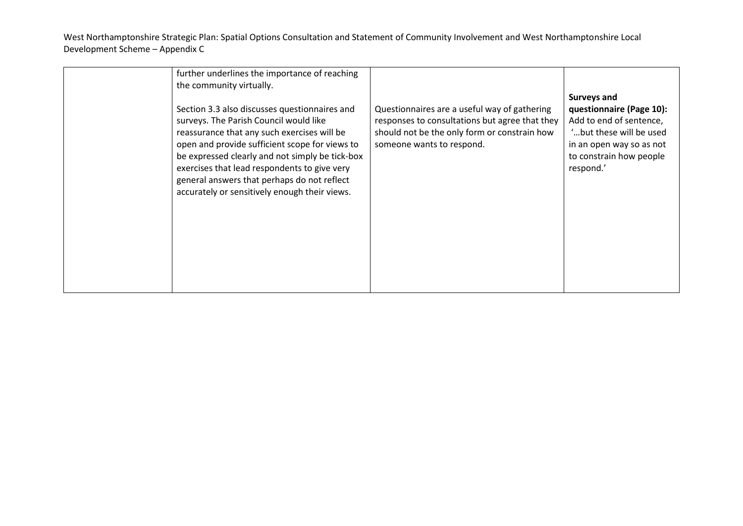| further underlines the importance of reaching<br>the community virtually.<br>Section 3.3 also discusses questionnaires and<br>surveys. The Parish Council would like<br>reassurance that any such exercises will be<br>open and provide sufficient scope for views to<br>be expressed clearly and not simply be tick-box<br>exercises that lead respondents to give very<br>general answers that perhaps do not reflect<br>accurately or sensitively enough their views. | Questionnaires are a useful way of gathering<br>responses to consultations but agree that they<br>should not be the only form or constrain how<br>someone wants to respond. | <b>Surveys and</b><br>questionnaire (Page 10):<br>Add to end of sentence,<br>"but these will be used.<br>in an open way so as not<br>to constrain how people<br>respond.' |
|--------------------------------------------------------------------------------------------------------------------------------------------------------------------------------------------------------------------------------------------------------------------------------------------------------------------------------------------------------------------------------------------------------------------------------------------------------------------------|-----------------------------------------------------------------------------------------------------------------------------------------------------------------------------|---------------------------------------------------------------------------------------------------------------------------------------------------------------------------|
|                                                                                                                                                                                                                                                                                                                                                                                                                                                                          |                                                                                                                                                                             |                                                                                                                                                                           |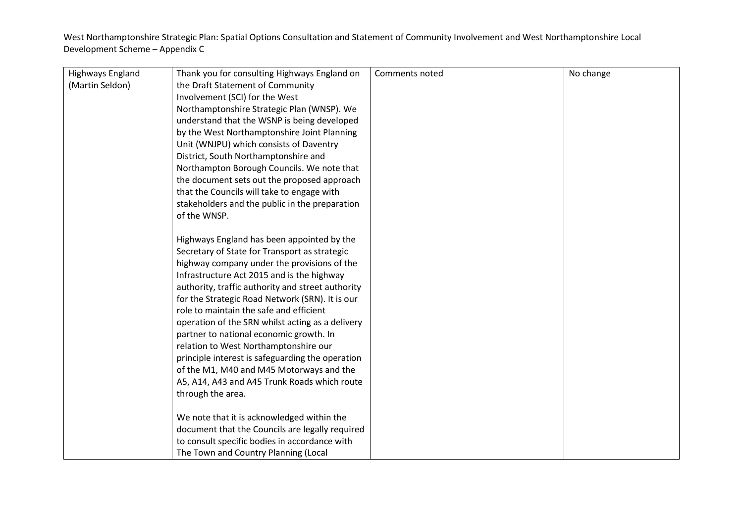| Highways England | Thank you for consulting Highways England on      | Comments noted | No change |
|------------------|---------------------------------------------------|----------------|-----------|
| (Martin Seldon)  | the Draft Statement of Community                  |                |           |
|                  | Involvement (SCI) for the West                    |                |           |
|                  |                                                   |                |           |
|                  | Northamptonshire Strategic Plan (WNSP). We        |                |           |
|                  | understand that the WSNP is being developed       |                |           |
|                  | by the West Northamptonshire Joint Planning       |                |           |
|                  | Unit (WNJPU) which consists of Daventry           |                |           |
|                  | District, South Northamptonshire and              |                |           |
|                  | Northampton Borough Councils. We note that        |                |           |
|                  | the document sets out the proposed approach       |                |           |
|                  | that the Councils will take to engage with        |                |           |
|                  | stakeholders and the public in the preparation    |                |           |
|                  | of the WNSP.                                      |                |           |
|                  |                                                   |                |           |
|                  | Highways England has been appointed by the        |                |           |
|                  | Secretary of State for Transport as strategic     |                |           |
|                  | highway company under the provisions of the       |                |           |
|                  | Infrastructure Act 2015 and is the highway        |                |           |
|                  | authority, traffic authority and street authority |                |           |
|                  | for the Strategic Road Network (SRN). It is our   |                |           |
|                  | role to maintain the safe and efficient           |                |           |
|                  | operation of the SRN whilst acting as a delivery  |                |           |
|                  | partner to national economic growth. In           |                |           |
|                  | relation to West Northamptonshire our             |                |           |
|                  | principle interest is safeguarding the operation  |                |           |
|                  | of the M1, M40 and M45 Motorways and the          |                |           |
|                  | A5, A14, A43 and A45 Trunk Roads which route      |                |           |
|                  | through the area.                                 |                |           |
|                  |                                                   |                |           |
|                  | We note that it is acknowledged within the        |                |           |
|                  | document that the Councils are legally required   |                |           |
|                  | to consult specific bodies in accordance with     |                |           |
|                  | The Town and Country Planning (Local              |                |           |
|                  |                                                   |                |           |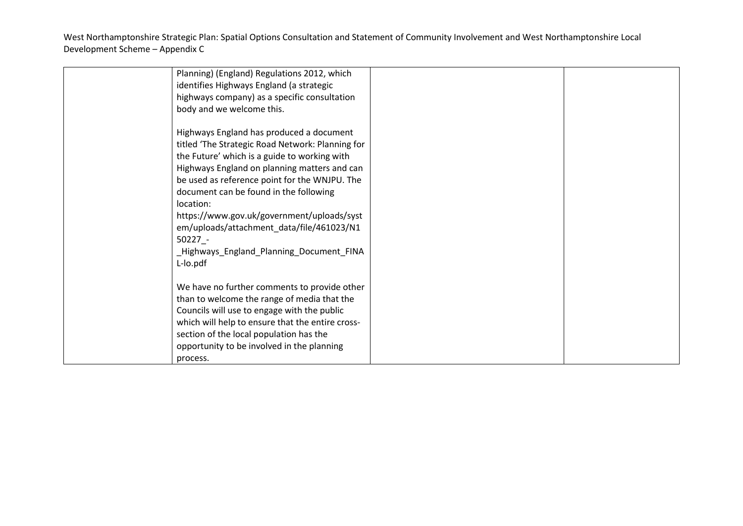| Planning) (England) Regulations 2012, which      |  |
|--------------------------------------------------|--|
| identifies Highways England (a strategic         |  |
| highways company) as a specific consultation     |  |
| body and we welcome this.                        |  |
|                                                  |  |
| Highways England has produced a document         |  |
| titled 'The Strategic Road Network: Planning for |  |
| the Future' which is a guide to working with     |  |
| Highways England on planning matters and can     |  |
| be used as reference point for the WNJPU. The    |  |
| document can be found in the following           |  |
| location:                                        |  |
| https://www.gov.uk/government/uploads/syst       |  |
| em/uploads/attachment_data/file/461023/N1        |  |
| $50227 -$                                        |  |
| _Highways_England_Planning_Document_FINA         |  |
| L-lo.pdf                                         |  |
|                                                  |  |
| We have no further comments to provide other     |  |
| than to welcome the range of media that the      |  |
| Councils will use to engage with the public      |  |
| which will help to ensure that the entire cross- |  |
| section of the local population has the          |  |
| opportunity to be involved in the planning       |  |
|                                                  |  |
| process.                                         |  |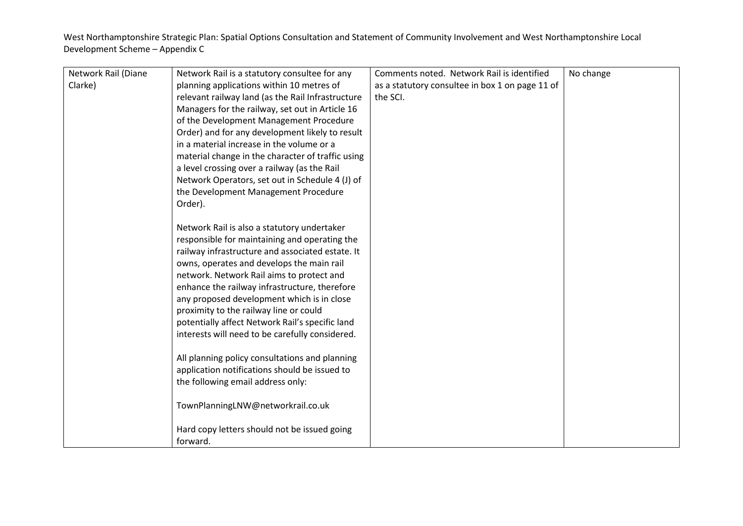| Network Rail (Diane | Network Rail is a statutory consultee for any     | Comments noted. Network Rail is identified      | No change |
|---------------------|---------------------------------------------------|-------------------------------------------------|-----------|
| Clarke)             | planning applications within 10 metres of         | as a statutory consultee in box 1 on page 11 of |           |
|                     | relevant railway land (as the Rail Infrastructure | the SCI.                                        |           |
|                     | Managers for the railway, set out in Article 16   |                                                 |           |
|                     | of the Development Management Procedure           |                                                 |           |
|                     | Order) and for any development likely to result   |                                                 |           |
|                     | in a material increase in the volume or a         |                                                 |           |
|                     | material change in the character of traffic using |                                                 |           |
|                     | a level crossing over a railway (as the Rail      |                                                 |           |
|                     | Network Operators, set out in Schedule 4 (J) of   |                                                 |           |
|                     | the Development Management Procedure              |                                                 |           |
|                     | Order).                                           |                                                 |           |
|                     |                                                   |                                                 |           |
|                     | Network Rail is also a statutory undertaker       |                                                 |           |
|                     | responsible for maintaining and operating the     |                                                 |           |
|                     | railway infrastructure and associated estate. It  |                                                 |           |
|                     | owns, operates and develops the main rail         |                                                 |           |
|                     | network. Network Rail aims to protect and         |                                                 |           |
|                     | enhance the railway infrastructure, therefore     |                                                 |           |
|                     | any proposed development which is in close        |                                                 |           |
|                     | proximity to the railway line or could            |                                                 |           |
|                     | potentially affect Network Rail's specific land   |                                                 |           |
|                     | interests will need to be carefully considered.   |                                                 |           |
|                     |                                                   |                                                 |           |
|                     | All planning policy consultations and planning    |                                                 |           |
|                     | application notifications should be issued to     |                                                 |           |
|                     | the following email address only:                 |                                                 |           |
|                     |                                                   |                                                 |           |
|                     | TownPlanningLNW@networkrail.co.uk                 |                                                 |           |
|                     |                                                   |                                                 |           |
|                     | Hard copy letters should not be issued going      |                                                 |           |
|                     | forward.                                          |                                                 |           |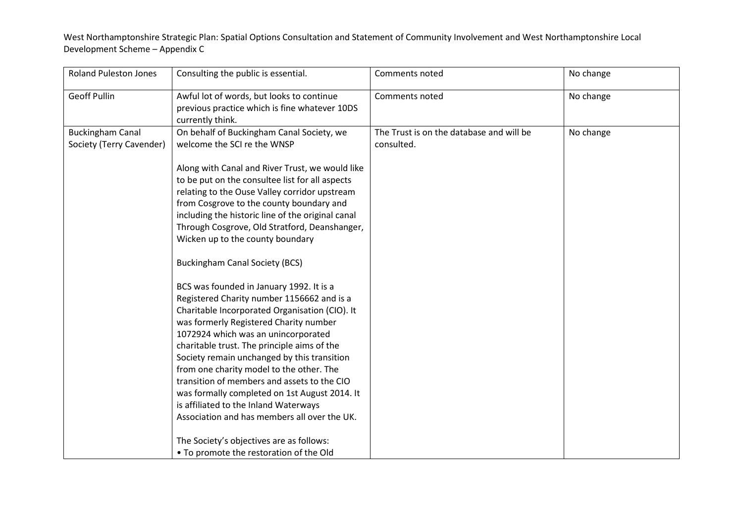| <b>Roland Puleston Jones</b>                        | Consulting the public is essential.                                                                                                                                                                                                                                                                                                                                                                                                                                                                                                                                                                                                                                                                                                                                                                                                                                                                                                                                                                                            | Comments noted                                         | No change |
|-----------------------------------------------------|--------------------------------------------------------------------------------------------------------------------------------------------------------------------------------------------------------------------------------------------------------------------------------------------------------------------------------------------------------------------------------------------------------------------------------------------------------------------------------------------------------------------------------------------------------------------------------------------------------------------------------------------------------------------------------------------------------------------------------------------------------------------------------------------------------------------------------------------------------------------------------------------------------------------------------------------------------------------------------------------------------------------------------|--------------------------------------------------------|-----------|
| <b>Geoff Pullin</b>                                 | Awful lot of words, but looks to continue<br>previous practice which is fine whatever 10DS<br>currently think.                                                                                                                                                                                                                                                                                                                                                                                                                                                                                                                                                                                                                                                                                                                                                                                                                                                                                                                 | Comments noted                                         | No change |
| <b>Buckingham Canal</b><br>Society (Terry Cavender) | On behalf of Buckingham Canal Society, we<br>welcome the SCI re the WNSP<br>Along with Canal and River Trust, we would like<br>to be put on the consultee list for all aspects<br>relating to the Ouse Valley corridor upstream<br>from Cosgrove to the county boundary and<br>including the historic line of the original canal<br>Through Cosgrove, Old Stratford, Deanshanger,<br>Wicken up to the county boundary<br><b>Buckingham Canal Society (BCS)</b><br>BCS was founded in January 1992. It is a<br>Registered Charity number 1156662 and is a<br>Charitable Incorporated Organisation (CIO). It<br>was formerly Registered Charity number<br>1072924 which was an unincorporated<br>charitable trust. The principle aims of the<br>Society remain unchanged by this transition<br>from one charity model to the other. The<br>transition of members and assets to the CIO<br>was formally completed on 1st August 2014. It<br>is affiliated to the Inland Waterways<br>Association and has members all over the UK. | The Trust is on the database and will be<br>consulted. | No change |
|                                                     | The Society's objectives are as follows:<br>• To promote the restoration of the Old                                                                                                                                                                                                                                                                                                                                                                                                                                                                                                                                                                                                                                                                                                                                                                                                                                                                                                                                            |                                                        |           |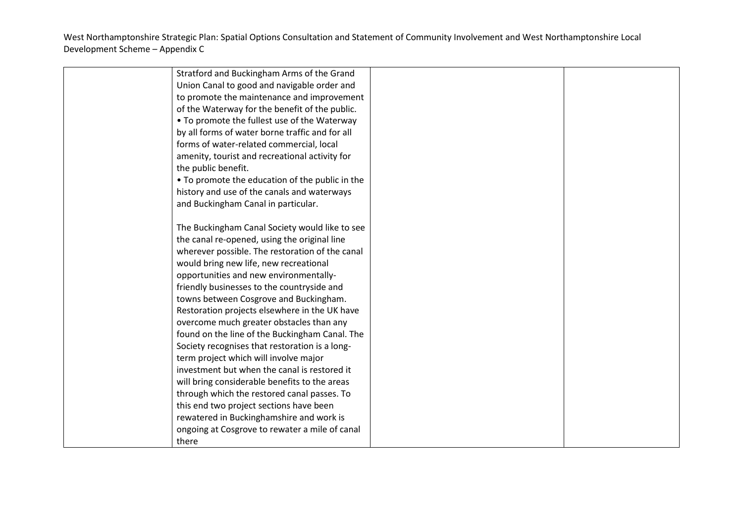| Stratford and Buckingham Arms of the Grand      |  |
|-------------------------------------------------|--|
| Union Canal to good and navigable order and     |  |
| to promote the maintenance and improvement      |  |
| of the Waterway for the benefit of the public.  |  |
| • To promote the fullest use of the Waterway    |  |
| by all forms of water borne traffic and for all |  |
| forms of water-related commercial, local        |  |
| amenity, tourist and recreational activity for  |  |
| the public benefit.                             |  |
| • To promote the education of the public in the |  |
| history and use of the canals and waterways     |  |
| and Buckingham Canal in particular.             |  |
|                                                 |  |
| The Buckingham Canal Society would like to see  |  |
| the canal re-opened, using the original line    |  |
| wherever possible. The restoration of the canal |  |
| would bring new life, new recreational          |  |
| opportunities and new environmentally-          |  |
| friendly businesses to the countryside and      |  |
| towns between Cosgrove and Buckingham.          |  |
| Restoration projects elsewhere in the UK have   |  |
| overcome much greater obstacles than any        |  |
| found on the line of the Buckingham Canal. The  |  |
| Society recognises that restoration is a long-  |  |
| term project which will involve major           |  |
| investment but when the canal is restored it    |  |
| will bring considerable benefits to the areas   |  |
| through which the restored canal passes. To     |  |
| this end two project sections have been         |  |
| rewatered in Buckinghamshire and work is        |  |
| ongoing at Cosgrove to rewater a mile of canal  |  |
| there                                           |  |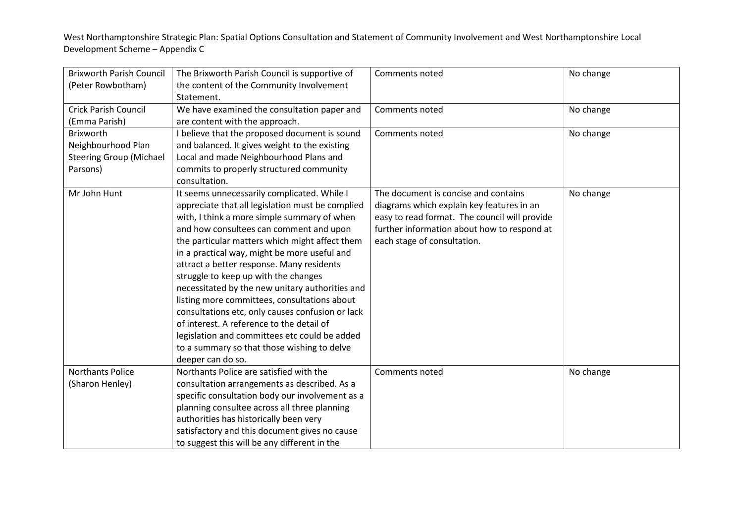| <b>Brixworth Parish Council</b> | The Brixworth Parish Council is supportive of    | Comments noted                                | No change |
|---------------------------------|--------------------------------------------------|-----------------------------------------------|-----------|
| (Peter Rowbotham)               | the content of the Community Involvement         |                                               |           |
|                                 | Statement.                                       |                                               |           |
| <b>Crick Parish Council</b>     | We have examined the consultation paper and      | Comments noted                                | No change |
| (Emma Parish)                   | are content with the approach.                   |                                               |           |
| Brixworth                       | I believe that the proposed document is sound    | Comments noted                                | No change |
| Neighbourhood Plan              | and balanced. It gives weight to the existing    |                                               |           |
| <b>Steering Group (Michael</b>  | Local and made Neighbourhood Plans and           |                                               |           |
| Parsons)                        | commits to properly structured community         |                                               |           |
|                                 | consultation.                                    |                                               |           |
| Mr John Hunt                    | It seems unnecessarily complicated. While I      | The document is concise and contains          | No change |
|                                 | appreciate that all legislation must be complied | diagrams which explain key features in an     |           |
|                                 | with, I think a more simple summary of when      | easy to read format. The council will provide |           |
|                                 | and how consultees can comment and upon          | further information about how to respond at   |           |
|                                 | the particular matters which might affect them   | each stage of consultation.                   |           |
|                                 | in a practical way, might be more useful and     |                                               |           |
|                                 | attract a better response. Many residents        |                                               |           |
|                                 | struggle to keep up with the changes             |                                               |           |
|                                 | necessitated by the new unitary authorities and  |                                               |           |
|                                 | listing more committees, consultations about     |                                               |           |
|                                 | consultations etc, only causes confusion or lack |                                               |           |
|                                 | of interest. A reference to the detail of        |                                               |           |
|                                 | legislation and committees etc could be added    |                                               |           |
|                                 | to a summary so that those wishing to delve      |                                               |           |
|                                 | deeper can do so.                                |                                               |           |
| <b>Northants Police</b>         | Northants Police are satisfied with the          | Comments noted                                | No change |
| (Sharon Henley)                 | consultation arrangements as described. As a     |                                               |           |
|                                 | specific consultation body our involvement as a  |                                               |           |
|                                 | planning consultee across all three planning     |                                               |           |
|                                 | authorities has historically been very           |                                               |           |
|                                 | satisfactory and this document gives no cause    |                                               |           |
|                                 | to suggest this will be any different in the     |                                               |           |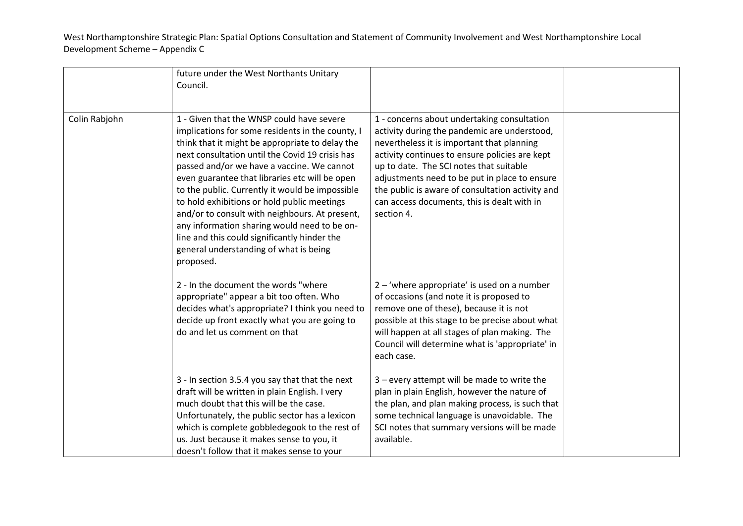|               | future under the West Northants Unitary<br>Council.                                                                                                                                                                                                                                                                                                                                                                                                                                                                                                                                                            |                                                                                                                                                                                                                                                                                                                                                                                                          |  |
|---------------|----------------------------------------------------------------------------------------------------------------------------------------------------------------------------------------------------------------------------------------------------------------------------------------------------------------------------------------------------------------------------------------------------------------------------------------------------------------------------------------------------------------------------------------------------------------------------------------------------------------|----------------------------------------------------------------------------------------------------------------------------------------------------------------------------------------------------------------------------------------------------------------------------------------------------------------------------------------------------------------------------------------------------------|--|
| Colin Rabjohn | 1 - Given that the WNSP could have severe<br>implications for some residents in the county, I<br>think that it might be appropriate to delay the<br>next consultation until the Covid 19 crisis has<br>passed and/or we have a vaccine. We cannot<br>even guarantee that libraries etc will be open<br>to the public. Currently it would be impossible<br>to hold exhibitions or hold public meetings<br>and/or to consult with neighbours. At present,<br>any information sharing would need to be on-<br>line and this could significantly hinder the<br>general understanding of what is being<br>proposed. | 1 - concerns about undertaking consultation<br>activity during the pandemic are understood,<br>nevertheless it is important that planning<br>activity continues to ensure policies are kept<br>up to date. The SCI notes that suitable<br>adjustments need to be put in place to ensure<br>the public is aware of consultation activity and<br>can access documents, this is dealt with in<br>section 4. |  |
|               | 2 - In the document the words "where<br>appropriate" appear a bit too often. Who<br>decides what's appropriate? I think you need to<br>decide up front exactly what you are going to<br>do and let us comment on that                                                                                                                                                                                                                                                                                                                                                                                          | 2 – 'where appropriate' is used on a number<br>of occasions (and note it is proposed to<br>remove one of these), because it is not<br>possible at this stage to be precise about what<br>will happen at all stages of plan making. The<br>Council will determine what is 'appropriate' in<br>each case.                                                                                                  |  |
|               | 3 - In section 3.5.4 you say that that the next<br>draft will be written in plain English. I very<br>much doubt that this will be the case.<br>Unfortunately, the public sector has a lexicon<br>which is complete gobbledegook to the rest of<br>us. Just because it makes sense to you, it<br>doesn't follow that it makes sense to your                                                                                                                                                                                                                                                                     | 3 - every attempt will be made to write the<br>plan in plain English, however the nature of<br>the plan, and plan making process, is such that<br>some technical language is unavoidable. The<br>SCI notes that summary versions will be made<br>available.                                                                                                                                              |  |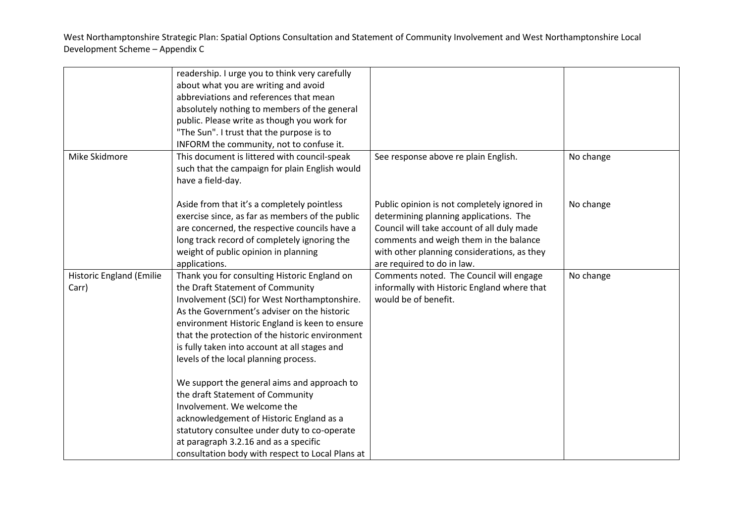| Mike Skidmore                            | readership. I urge you to think very carefully<br>about what you are writing and avoid<br>abbreviations and references that mean<br>absolutely nothing to members of the general<br>public. Please write as though you work for<br>"The Sun". I trust that the purpose is to<br>INFORM the community, not to confuse it.<br>This document is littered with council-speak                                                                                                                                                                     | See response above re plain English.                                                                                                                                                                                                                       | No change |
|------------------------------------------|----------------------------------------------------------------------------------------------------------------------------------------------------------------------------------------------------------------------------------------------------------------------------------------------------------------------------------------------------------------------------------------------------------------------------------------------------------------------------------------------------------------------------------------------|------------------------------------------------------------------------------------------------------------------------------------------------------------------------------------------------------------------------------------------------------------|-----------|
|                                          | such that the campaign for plain English would<br>have a field-day.                                                                                                                                                                                                                                                                                                                                                                                                                                                                          |                                                                                                                                                                                                                                                            |           |
|                                          | Aside from that it's a completely pointless<br>exercise since, as far as members of the public<br>are concerned, the respective councils have a<br>long track record of completely ignoring the<br>weight of public opinion in planning<br>applications.                                                                                                                                                                                                                                                                                     | Public opinion is not completely ignored in<br>determining planning applications. The<br>Council will take account of all duly made<br>comments and weigh them in the balance<br>with other planning considerations, as they<br>are required to do in law. | No change |
| <b>Historic England (Emilie</b><br>Carr) | Thank you for consulting Historic England on<br>the Draft Statement of Community<br>Involvement (SCI) for West Northamptonshire.<br>As the Government's adviser on the historic<br>environment Historic England is keen to ensure<br>that the protection of the historic environment<br>is fully taken into account at all stages and<br>levels of the local planning process.<br>We support the general aims and approach to<br>the draft Statement of Community<br>Involvement. We welcome the<br>acknowledgement of Historic England as a | Comments noted. The Council will engage<br>informally with Historic England where that<br>would be of benefit.                                                                                                                                             | No change |
|                                          | statutory consultee under duty to co-operate<br>at paragraph 3.2.16 and as a specific<br>consultation body with respect to Local Plans at                                                                                                                                                                                                                                                                                                                                                                                                    |                                                                                                                                                                                                                                                            |           |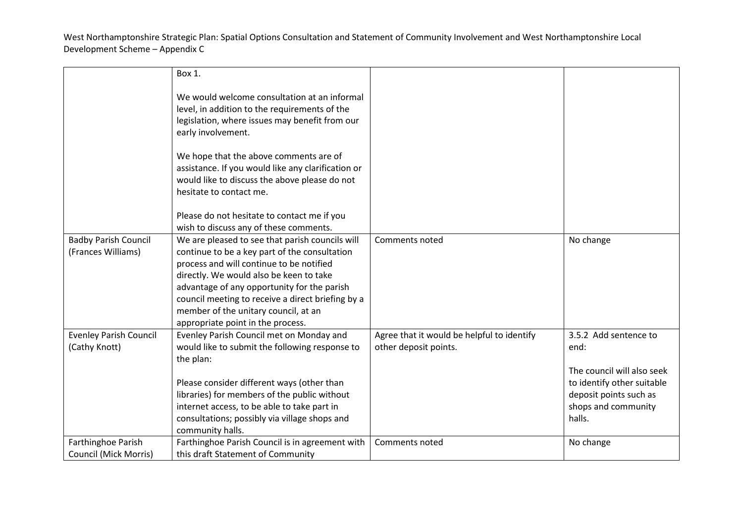|                                                    | Box 1.                                                                                                                                                                                                                                                                                                                                                                   |                                                                     |                                                                                                                                                      |
|----------------------------------------------------|--------------------------------------------------------------------------------------------------------------------------------------------------------------------------------------------------------------------------------------------------------------------------------------------------------------------------------------------------------------------------|---------------------------------------------------------------------|------------------------------------------------------------------------------------------------------------------------------------------------------|
|                                                    | We would welcome consultation at an informal<br>level, in addition to the requirements of the<br>legislation, where issues may benefit from our<br>early involvement.                                                                                                                                                                                                    |                                                                     |                                                                                                                                                      |
|                                                    | We hope that the above comments are of<br>assistance. If you would like any clarification or<br>would like to discuss the above please do not<br>hesitate to contact me.                                                                                                                                                                                                 |                                                                     |                                                                                                                                                      |
|                                                    | Please do not hesitate to contact me if you<br>wish to discuss any of these comments.                                                                                                                                                                                                                                                                                    |                                                                     |                                                                                                                                                      |
| <b>Badby Parish Council</b><br>(Frances Williams)  | We are pleased to see that parish councils will<br>continue to be a key part of the consultation<br>process and will continue to be notified<br>directly. We would also be keen to take<br>advantage of any opportunity for the parish<br>council meeting to receive a direct briefing by a<br>member of the unitary council, at an<br>appropriate point in the process. | Comments noted                                                      | No change                                                                                                                                            |
| <b>Evenley Parish Council</b><br>(Cathy Knott)     | Evenley Parish Council met on Monday and<br>would like to submit the following response to<br>the plan:<br>Please consider different ways (other than<br>libraries) for members of the public without<br>internet access, to be able to take part in<br>consultations; possibly via village shops and<br>community halls.                                                | Agree that it would be helpful to identify<br>other deposit points. | 3.5.2 Add sentence to<br>end:<br>The council will also seek<br>to identify other suitable<br>deposit points such as<br>shops and community<br>halls. |
| Farthinghoe Parish<br><b>Council (Mick Morris)</b> | Farthinghoe Parish Council is in agreement with<br>this draft Statement of Community                                                                                                                                                                                                                                                                                     | Comments noted                                                      | No change                                                                                                                                            |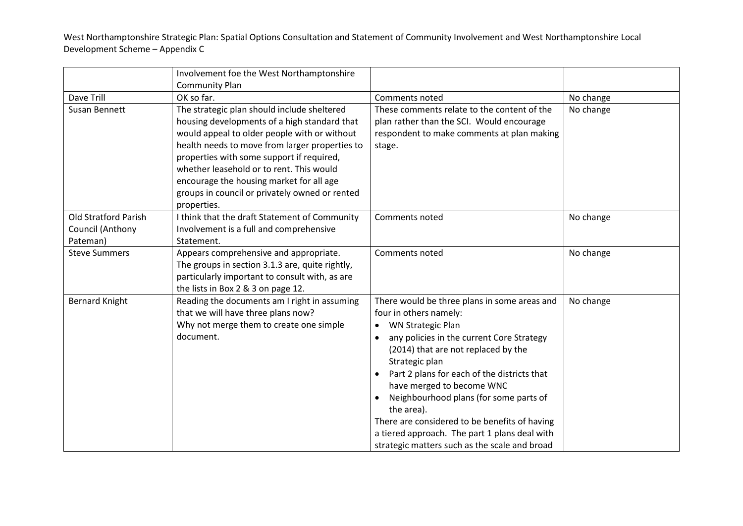|                             | Involvement foe the West Northamptonshire       |                                                     |           |
|-----------------------------|-------------------------------------------------|-----------------------------------------------------|-----------|
|                             | Community Plan                                  |                                                     |           |
| Dave Trill                  | OK so far.                                      | Comments noted                                      | No change |
| Susan Bennett               | The strategic plan should include sheltered     | These comments relate to the content of the         | No change |
|                             | housing developments of a high standard that    | plan rather than the SCI. Would encourage           |           |
|                             | would appeal to older people with or without    | respondent to make comments at plan making          |           |
|                             | health needs to move from larger properties to  | stage.                                              |           |
|                             | properties with some support if required,       |                                                     |           |
|                             | whether leasehold or to rent. This would        |                                                     |           |
|                             | encourage the housing market for all age        |                                                     |           |
|                             | groups in council or privately owned or rented  |                                                     |           |
|                             | properties.                                     |                                                     |           |
| <b>Old Stratford Parish</b> | I think that the draft Statement of Community   | Comments noted                                      | No change |
| Council (Anthony            | Involvement is a full and comprehensive         |                                                     |           |
| Pateman)                    | Statement.                                      |                                                     |           |
| <b>Steve Summers</b>        | Appears comprehensive and appropriate.          | Comments noted                                      | No change |
|                             | The groups in section 3.1.3 are, quite rightly, |                                                     |           |
|                             | particularly important to consult with, as are  |                                                     |           |
|                             | the lists in Box 2 & 3 on page 12.              |                                                     |           |
| <b>Bernard Knight</b>       | Reading the documents am I right in assuming    | There would be three plans in some areas and        | No change |
|                             | that we will have three plans now?              | four in others namely:                              |           |
|                             | Why not merge them to create one simple         | • WN Strategic Plan                                 |           |
|                             | document.                                       | any policies in the current Core Strategy           |           |
|                             |                                                 | (2014) that are not replaced by the                 |           |
|                             |                                                 | Strategic plan                                      |           |
|                             |                                                 | Part 2 plans for each of the districts that         |           |
|                             |                                                 | have merged to become WNC                           |           |
|                             |                                                 | Neighbourhood plans (for some parts of<br>$\bullet$ |           |
|                             |                                                 | the area).                                          |           |
|                             |                                                 | There are considered to be benefits of having       |           |
|                             |                                                 | a tiered approach. The part 1 plans deal with       |           |
|                             |                                                 | strategic matters such as the scale and broad       |           |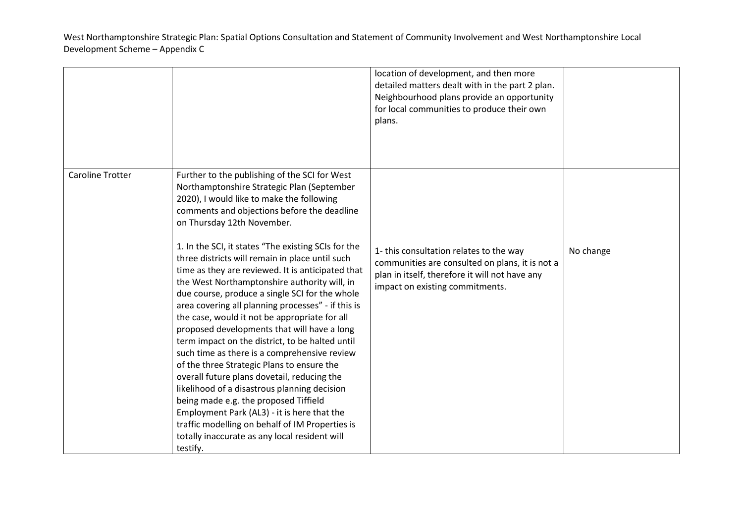|                         |                                                                                                                                                                                                                                                                                                                                                                                                                                                                                                                                                                                                                                                                                                                                                                                                                                                                                                                                                                                                                                                                                                      | location of development, and then more<br>detailed matters dealt with in the part 2 plan.<br>Neighbourhood plans provide an opportunity<br>for local communities to produce their own<br>plans. |           |
|-------------------------|------------------------------------------------------------------------------------------------------------------------------------------------------------------------------------------------------------------------------------------------------------------------------------------------------------------------------------------------------------------------------------------------------------------------------------------------------------------------------------------------------------------------------------------------------------------------------------------------------------------------------------------------------------------------------------------------------------------------------------------------------------------------------------------------------------------------------------------------------------------------------------------------------------------------------------------------------------------------------------------------------------------------------------------------------------------------------------------------------|-------------------------------------------------------------------------------------------------------------------------------------------------------------------------------------------------|-----------|
| <b>Caroline Trotter</b> | Further to the publishing of the SCI for West<br>Northamptonshire Strategic Plan (September<br>2020), I would like to make the following<br>comments and objections before the deadline<br>on Thursday 12th November.<br>1. In the SCI, it states "The existing SCIs for the<br>three districts will remain in place until such<br>time as they are reviewed. It is anticipated that<br>the West Northamptonshire authority will, in<br>due course, produce a single SCI for the whole<br>area covering all planning processes" - if this is<br>the case, would it not be appropriate for all<br>proposed developments that will have a long<br>term impact on the district, to be halted until<br>such time as there is a comprehensive review<br>of the three Strategic Plans to ensure the<br>overall future plans dovetail, reducing the<br>likelihood of a disastrous planning decision<br>being made e.g. the proposed Tiffield<br>Employment Park (AL3) - it is here that the<br>traffic modelling on behalf of IM Properties is<br>totally inaccurate as any local resident will<br>testify. | 1- this consultation relates to the way<br>communities are consulted on plans, it is not a<br>plan in itself, therefore it will not have any<br>impact on existing commitments.                 | No change |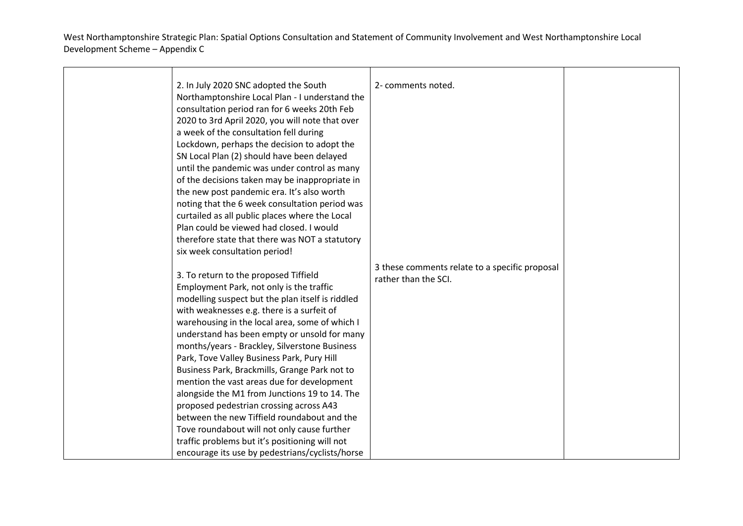| 2. In July 2020 SNC adopted the South<br>Northamptonshire Local Plan - I understand the<br>consultation period ran for 6 weeks 20th Feb<br>2020 to 3rd April 2020, you will note that over<br>a week of the consultation fell during<br>Lockdown, perhaps the decision to adopt the<br>SN Local Plan (2) should have been delayed<br>until the pandemic was under control as many<br>of the decisions taken may be inappropriate in<br>the new post pandemic era. It's also worth<br>noting that the 6 week consultation period was<br>curtailed as all public places where the Local<br>Plan could be viewed had closed. I would<br>therefore state that there was NOT a statutory<br>six week consultation period!                                                               | 2- comments noted.                                                     |  |
|------------------------------------------------------------------------------------------------------------------------------------------------------------------------------------------------------------------------------------------------------------------------------------------------------------------------------------------------------------------------------------------------------------------------------------------------------------------------------------------------------------------------------------------------------------------------------------------------------------------------------------------------------------------------------------------------------------------------------------------------------------------------------------|------------------------------------------------------------------------|--|
| 3. To return to the proposed Tiffield<br>Employment Park, not only is the traffic<br>modelling suspect but the plan itself is riddled<br>with weaknesses e.g. there is a surfeit of<br>warehousing in the local area, some of which I<br>understand has been empty or unsold for many<br>months/years - Brackley, Silverstone Business<br>Park, Tove Valley Business Park, Pury Hill<br>Business Park, Brackmills, Grange Park not to<br>mention the vast areas due for development<br>alongside the M1 from Junctions 19 to 14. The<br>proposed pedestrian crossing across A43<br>between the new Tiffield roundabout and the<br>Tove roundabout will not only cause further<br>traffic problems but it's positioning will not<br>encourage its use by pedestrians/cyclists/horse | 3 these comments relate to a specific proposal<br>rather than the SCI. |  |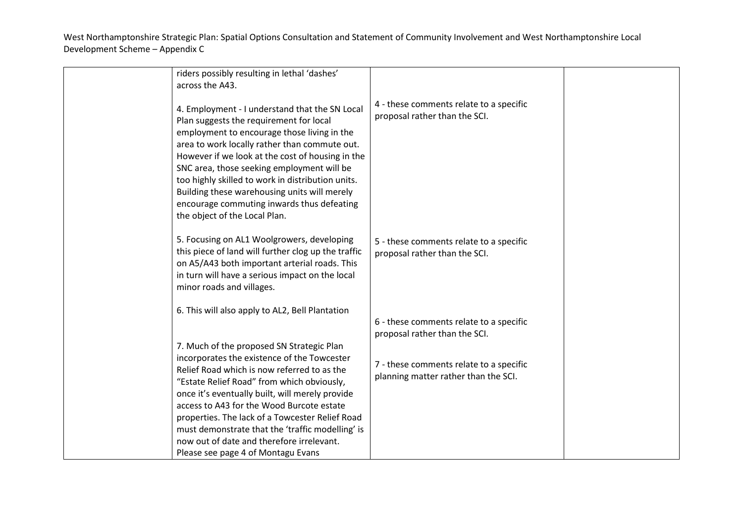| riders possibly resulting in lethal 'dashes'                                                                                                                                                                                                                                                                                                                                                                                                                                    |                                                                                 |  |
|---------------------------------------------------------------------------------------------------------------------------------------------------------------------------------------------------------------------------------------------------------------------------------------------------------------------------------------------------------------------------------------------------------------------------------------------------------------------------------|---------------------------------------------------------------------------------|--|
| across the A43.                                                                                                                                                                                                                                                                                                                                                                                                                                                                 |                                                                                 |  |
| 4. Employment - I understand that the SN Local<br>Plan suggests the requirement for local<br>employment to encourage those living in the<br>area to work locally rather than commute out.<br>However if we look at the cost of housing in the<br>SNC area, those seeking employment will be<br>too highly skilled to work in distribution units.<br>Building these warehousing units will merely<br>encourage commuting inwards thus defeating<br>the object of the Local Plan. | 4 - these comments relate to a specific<br>proposal rather than the SCI.        |  |
| 5. Focusing on AL1 Woolgrowers, developing<br>this piece of land will further clog up the traffic<br>on A5/A43 both important arterial roads. This<br>in turn will have a serious impact on the local<br>minor roads and villages.                                                                                                                                                                                                                                              | 5 - these comments relate to a specific<br>proposal rather than the SCI.        |  |
| 6. This will also apply to AL2, Bell Plantation                                                                                                                                                                                                                                                                                                                                                                                                                                 | 6 - these comments relate to a specific<br>proposal rather than the SCI.        |  |
| 7. Much of the proposed SN Strategic Plan<br>incorporates the existence of the Towcester<br>Relief Road which is now referred to as the<br>"Estate Relief Road" from which obviously,<br>once it's eventually built, will merely provide<br>access to A43 for the Wood Burcote estate<br>properties. The lack of a Towcester Relief Road<br>must demonstrate that the 'traffic modelling' is<br>now out of date and therefore irrelevant.<br>Please see page 4 of Montagu Evans | 7 - these comments relate to a specific<br>planning matter rather than the SCI. |  |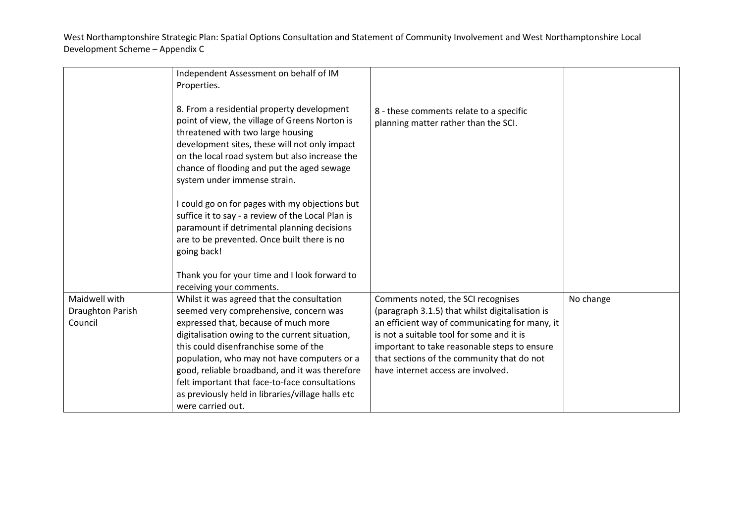|                                                     | Independent Assessment on behalf of IM<br>Properties.                                                                                                                                                                                                                                                                                                                                                                                                |                                                                                                                                                                                                                                                                                                                          |           |
|-----------------------------------------------------|------------------------------------------------------------------------------------------------------------------------------------------------------------------------------------------------------------------------------------------------------------------------------------------------------------------------------------------------------------------------------------------------------------------------------------------------------|--------------------------------------------------------------------------------------------------------------------------------------------------------------------------------------------------------------------------------------------------------------------------------------------------------------------------|-----------|
|                                                     | 8. From a residential property development<br>point of view, the village of Greens Norton is<br>threatened with two large housing<br>development sites, these will not only impact<br>on the local road system but also increase the<br>chance of flooding and put the aged sewage<br>system under immense strain.                                                                                                                                   | 8 - these comments relate to a specific<br>planning matter rather than the SCI.                                                                                                                                                                                                                                          |           |
|                                                     | I could go on for pages with my objections but<br>suffice it to say - a review of the Local Plan is<br>paramount if detrimental planning decisions<br>are to be prevented. Once built there is no<br>going back!                                                                                                                                                                                                                                     |                                                                                                                                                                                                                                                                                                                          |           |
|                                                     | Thank you for your time and I look forward to<br>receiving your comments.                                                                                                                                                                                                                                                                                                                                                                            |                                                                                                                                                                                                                                                                                                                          |           |
| Maidwell with<br><b>Draughton Parish</b><br>Council | Whilst it was agreed that the consultation<br>seemed very comprehensive, concern was<br>expressed that, because of much more<br>digitalisation owing to the current situation,<br>this could disenfranchise some of the<br>population, who may not have computers or a<br>good, reliable broadband, and it was therefore<br>felt important that face-to-face consultations<br>as previously held in libraries/village halls etc<br>were carried out. | Comments noted, the SCI recognises<br>(paragraph 3.1.5) that whilst digitalisation is<br>an efficient way of communicating for many, it<br>is not a suitable tool for some and it is<br>important to take reasonable steps to ensure<br>that sections of the community that do not<br>have internet access are involved. | No change |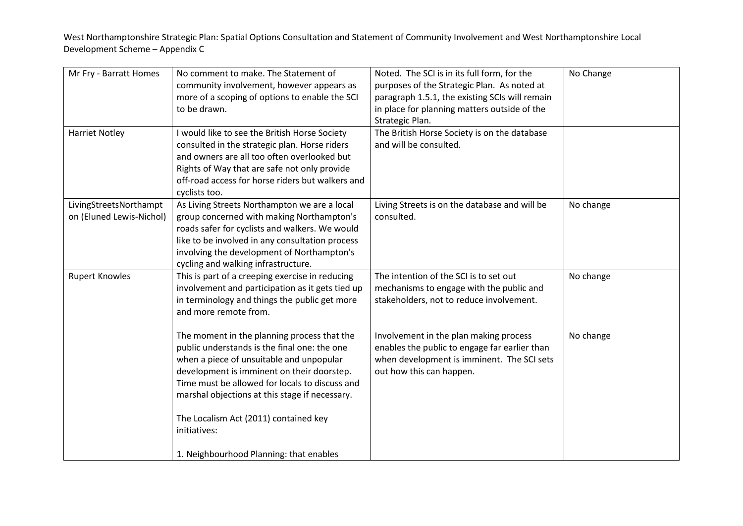| Mr Fry - Barratt Homes<br><b>Harriet Notley</b>    | No comment to make. The Statement of<br>community involvement, however appears as<br>more of a scoping of options to enable the SCI<br>to be drawn.<br>I would like to see the British Horse Society<br>consulted in the strategic plan. Horse riders<br>and owners are all too often overlooked but<br>Rights of Way that are safe not only provide<br>off-road access for horse riders but walkers and<br>cyclists too. | Noted. The SCI is in its full form, for the<br>purposes of the Strategic Plan. As noted at<br>paragraph 1.5.1, the existing SCIs will remain<br>in place for planning matters outside of the<br>Strategic Plan.<br>The British Horse Society is on the database<br>and will be consulted. | No Change |
|----------------------------------------------------|---------------------------------------------------------------------------------------------------------------------------------------------------------------------------------------------------------------------------------------------------------------------------------------------------------------------------------------------------------------------------------------------------------------------------|-------------------------------------------------------------------------------------------------------------------------------------------------------------------------------------------------------------------------------------------------------------------------------------------|-----------|
| LivingStreetsNorthampt<br>on (Eluned Lewis-Nichol) | As Living Streets Northampton we are a local<br>group concerned with making Northampton's<br>roads safer for cyclists and walkers. We would<br>like to be involved in any consultation process<br>involving the development of Northampton's<br>cycling and walking infrastructure.                                                                                                                                       | Living Streets is on the database and will be<br>consulted.                                                                                                                                                                                                                               | No change |
| <b>Rupert Knowles</b>                              | This is part of a creeping exercise in reducing<br>involvement and participation as it gets tied up<br>in terminology and things the public get more<br>and more remote from.                                                                                                                                                                                                                                             | The intention of the SCI is to set out<br>mechanisms to engage with the public and<br>stakeholders, not to reduce involvement.                                                                                                                                                            | No change |
|                                                    | The moment in the planning process that the<br>public understands is the final one: the one<br>when a piece of unsuitable and unpopular<br>development is imminent on their doorstep.<br>Time must be allowed for locals to discuss and<br>marshal objections at this stage if necessary.                                                                                                                                 | Involvement in the plan making process<br>enables the public to engage far earlier than<br>when development is imminent. The SCI sets<br>out how this can happen.                                                                                                                         | No change |
|                                                    | The Localism Act (2011) contained key<br>initiatives:<br>1. Neighbourhood Planning: that enables                                                                                                                                                                                                                                                                                                                          |                                                                                                                                                                                                                                                                                           |           |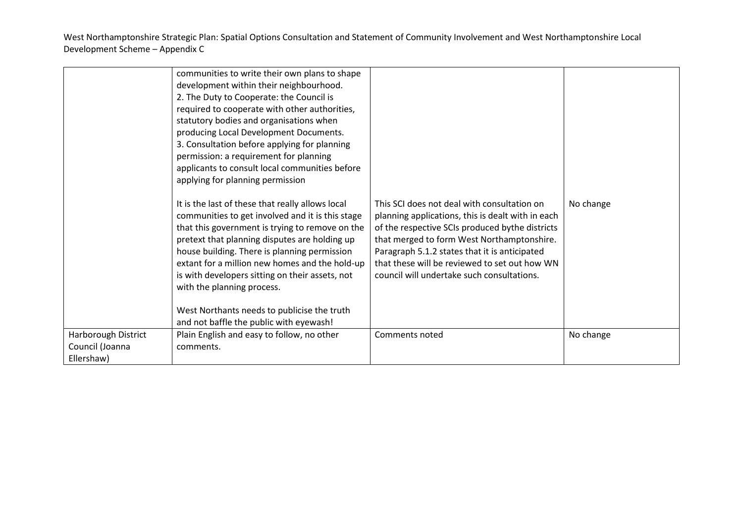|                                        | communities to write their own plans to shape<br>development within their neighbourhood.<br>2. The Duty to Cooperate: the Council is<br>required to cooperate with other authorities,<br>statutory bodies and organisations when<br>producing Local Development Documents.<br>3. Consultation before applying for planning<br>permission: a requirement for planning<br>applicants to consult local communities before<br>applying for planning permission<br>It is the last of these that really allows local<br>communities to get involved and it is this stage<br>that this government is trying to remove on the<br>pretext that planning disputes are holding up<br>house building. There is planning permission<br>extant for a million new homes and the hold-up<br>is with developers sitting on their assets, not<br>with the planning process.<br>West Northants needs to publicise the truth<br>and not baffle the public with eyewash! | This SCI does not deal with consultation on<br>planning applications, this is dealt with in each<br>of the respective SCIs produced bythe districts<br>that merged to form West Northamptonshire.<br>Paragraph 5.1.2 states that it is anticipated<br>that these will be reviewed to set out how WN<br>council will undertake such consultations. | No change |
|----------------------------------------|-----------------------------------------------------------------------------------------------------------------------------------------------------------------------------------------------------------------------------------------------------------------------------------------------------------------------------------------------------------------------------------------------------------------------------------------------------------------------------------------------------------------------------------------------------------------------------------------------------------------------------------------------------------------------------------------------------------------------------------------------------------------------------------------------------------------------------------------------------------------------------------------------------------------------------------------------------|---------------------------------------------------------------------------------------------------------------------------------------------------------------------------------------------------------------------------------------------------------------------------------------------------------------------------------------------------|-----------|
| Harborough District<br>Council (Joanna | Plain English and easy to follow, no other<br>comments.                                                                                                                                                                                                                                                                                                                                                                                                                                                                                                                                                                                                                                                                                                                                                                                                                                                                                             | Comments noted                                                                                                                                                                                                                                                                                                                                    | No change |
| Ellershaw)                             |                                                                                                                                                                                                                                                                                                                                                                                                                                                                                                                                                                                                                                                                                                                                                                                                                                                                                                                                                     |                                                                                                                                                                                                                                                                                                                                                   |           |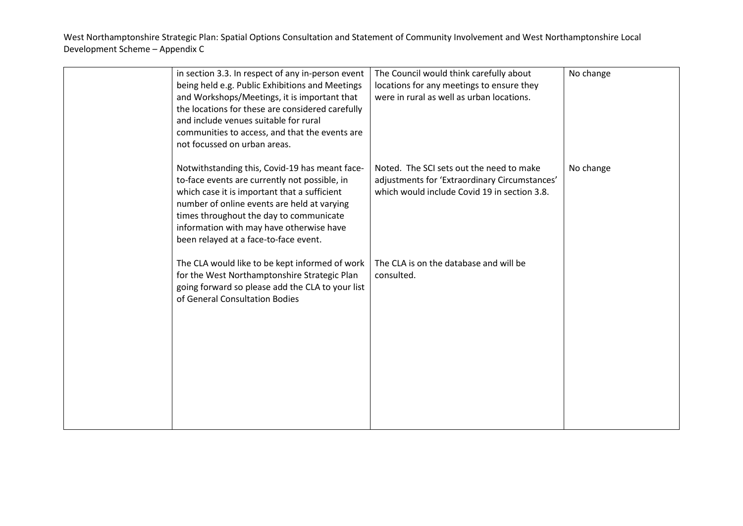| in section 3.3. In respect of any in-person event<br>being held e.g. Public Exhibitions and Meetings<br>and Workshops/Meetings, it is important that<br>the locations for these are considered carefully<br>and include venues suitable for rural<br>communities to access, and that the events are<br>not focussed on urban areas. | The Council would think carefully about<br>locations for any meetings to ensure they<br>were in rural as well as urban locations.         | No change |
|-------------------------------------------------------------------------------------------------------------------------------------------------------------------------------------------------------------------------------------------------------------------------------------------------------------------------------------|-------------------------------------------------------------------------------------------------------------------------------------------|-----------|
| Notwithstanding this, Covid-19 has meant face-<br>to-face events are currently not possible, in<br>which case it is important that a sufficient<br>number of online events are held at varying<br>times throughout the day to communicate<br>information with may have otherwise have<br>been relayed at a face-to-face event.      | Noted. The SCI sets out the need to make<br>adjustments for 'Extraordinary Circumstances'<br>which would include Covid 19 in section 3.8. | No change |
| The CLA would like to be kept informed of work<br>for the West Northamptonshire Strategic Plan<br>going forward so please add the CLA to your list<br>of General Consultation Bodies                                                                                                                                                | The CLA is on the database and will be<br>consulted.                                                                                      |           |
|                                                                                                                                                                                                                                                                                                                                     |                                                                                                                                           |           |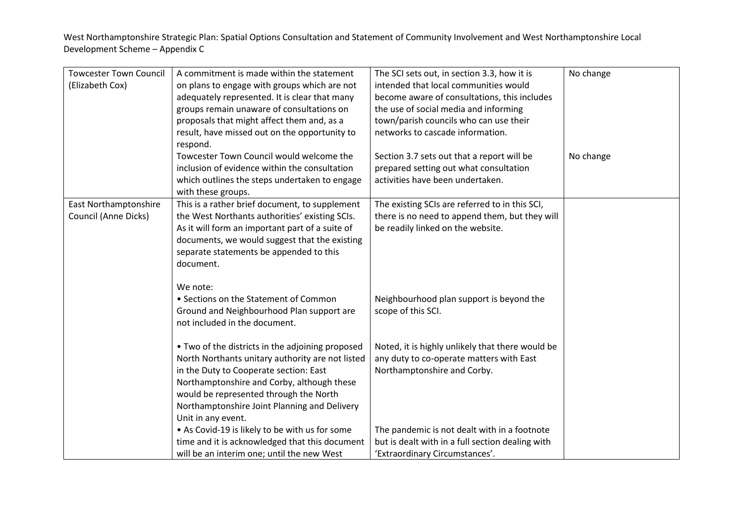| <b>Towcester Town Council</b> | A commitment is made within the statement                                                            | The SCI sets out, in section 3.3, how it is                                                  | No change |
|-------------------------------|------------------------------------------------------------------------------------------------------|----------------------------------------------------------------------------------------------|-----------|
| (Elizabeth Cox)               | on plans to engage with groups which are not                                                         | intended that local communities would                                                        |           |
|                               | adequately represented. It is clear that many                                                        | become aware of consultations, this includes                                                 |           |
|                               | groups remain unaware of consultations on                                                            | the use of social media and informing                                                        |           |
|                               | proposals that might affect them and, as a                                                           | town/parish councils who can use their                                                       |           |
|                               | result, have missed out on the opportunity to                                                        | networks to cascade information.                                                             |           |
|                               | respond.                                                                                             |                                                                                              |           |
|                               | Towcester Town Council would welcome the                                                             | Section 3.7 sets out that a report will be                                                   | No change |
|                               | inclusion of evidence within the consultation                                                        | prepared setting out what consultation                                                       |           |
|                               | which outlines the steps undertaken to engage                                                        | activities have been undertaken.                                                             |           |
|                               | with these groups.                                                                                   |                                                                                              |           |
| East Northamptonshire         | This is a rather brief document, to supplement                                                       | The existing SCIs are referred to in this SCI,                                               |           |
| Council (Anne Dicks)          | the West Northants authorities' existing SCIs.                                                       | there is no need to append them, but they will                                               |           |
|                               | As it will form an important part of a suite of                                                      | be readily linked on the website.                                                            |           |
|                               | documents, we would suggest that the existing                                                        |                                                                                              |           |
|                               | separate statements be appended to this                                                              |                                                                                              |           |
|                               | document.                                                                                            |                                                                                              |           |
|                               |                                                                                                      |                                                                                              |           |
|                               | We note:                                                                                             |                                                                                              |           |
|                               | • Sections on the Statement of Common                                                                | Neighbourhood plan support is beyond the                                                     |           |
|                               | Ground and Neighbourhood Plan support are                                                            | scope of this SCI.                                                                           |           |
|                               | not included in the document.                                                                        |                                                                                              |           |
|                               |                                                                                                      |                                                                                              |           |
|                               | • Two of the districts in the adjoining proposed<br>North Northants unitary authority are not listed | Noted, it is highly unlikely that there would be<br>any duty to co-operate matters with East |           |
|                               | in the Duty to Cooperate section: East                                                               | Northamptonshire and Corby.                                                                  |           |
|                               | Northamptonshire and Corby, although these                                                           |                                                                                              |           |
|                               | would be represented through the North                                                               |                                                                                              |           |
|                               | Northamptonshire Joint Planning and Delivery                                                         |                                                                                              |           |
|                               | Unit in any event.                                                                                   |                                                                                              |           |
|                               | • As Covid-19 is likely to be with us for some                                                       | The pandemic is not dealt with in a footnote                                                 |           |
|                               | time and it is acknowledged that this document                                                       | but is dealt with in a full section dealing with                                             |           |
|                               | will be an interim one; until the new West                                                           | 'Extraordinary Circumstances'.                                                               |           |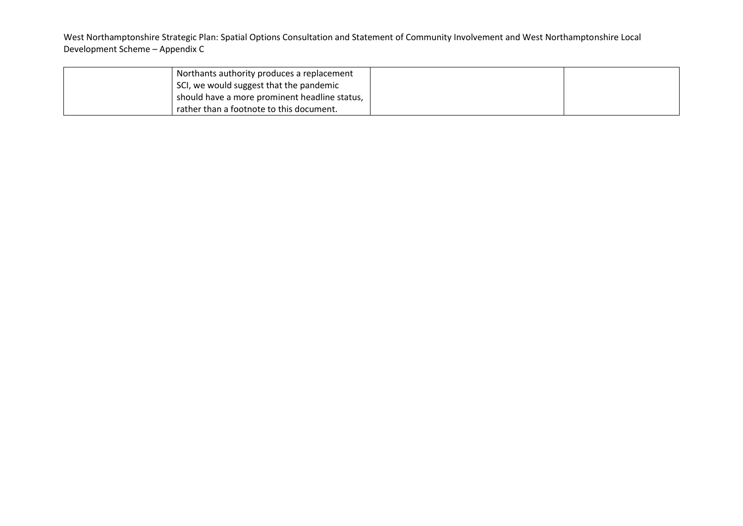| Northants authority produces a replacement    |  |
|-----------------------------------------------|--|
| SCI, we would suggest that the pandemic       |  |
| should have a more prominent headline status, |  |
| rather than a footnote to this document.      |  |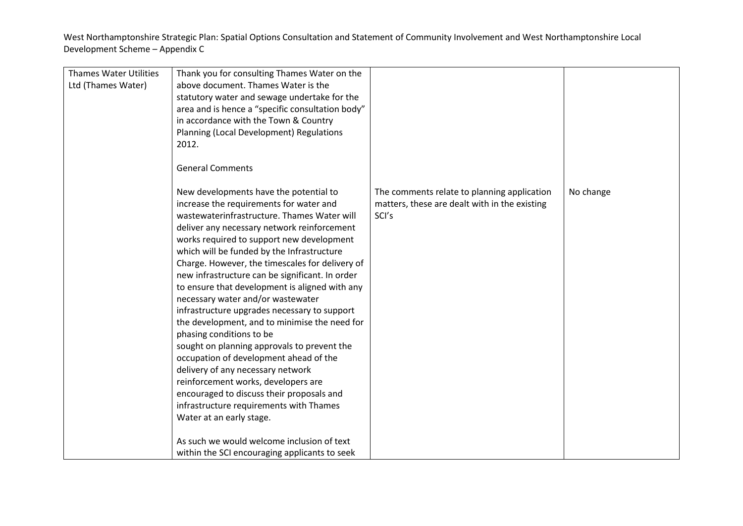| <b>Thames Water Utilities</b> |                                                  |                                               |           |
|-------------------------------|--------------------------------------------------|-----------------------------------------------|-----------|
|                               | Thank you for consulting Thames Water on the     |                                               |           |
| Ltd (Thames Water)            | above document. Thames Water is the              |                                               |           |
|                               | statutory water and sewage undertake for the     |                                               |           |
|                               | area and is hence a "specific consultation body" |                                               |           |
|                               | in accordance with the Town & Country            |                                               |           |
|                               | Planning (Local Development) Regulations         |                                               |           |
|                               | 2012.                                            |                                               |           |
|                               |                                                  |                                               |           |
|                               | <b>General Comments</b>                          |                                               |           |
|                               | New developments have the potential to           | The comments relate to planning application   | No change |
|                               | increase the requirements for water and          | matters, these are dealt with in the existing |           |
|                               | wastewaterinfrastructure. Thames Water will      | SCI's                                         |           |
|                               | deliver any necessary network reinforcement      |                                               |           |
|                               |                                                  |                                               |           |
|                               | works required to support new development        |                                               |           |
|                               | which will be funded by the Infrastructure       |                                               |           |
|                               | Charge. However, the timescales for delivery of  |                                               |           |
|                               | new infrastructure can be significant. In order  |                                               |           |
|                               | to ensure that development is aligned with any   |                                               |           |
|                               | necessary water and/or wastewater                |                                               |           |
|                               | infrastructure upgrades necessary to support     |                                               |           |
|                               | the development, and to minimise the need for    |                                               |           |
|                               | phasing conditions to be                         |                                               |           |
|                               | sought on planning approvals to prevent the      |                                               |           |
|                               | occupation of development ahead of the           |                                               |           |
|                               | delivery of any necessary network                |                                               |           |
|                               | reinforcement works, developers are              |                                               |           |
|                               | encouraged to discuss their proposals and        |                                               |           |
|                               | infrastructure requirements with Thames          |                                               |           |
|                               |                                                  |                                               |           |
|                               | Water at an early stage.                         |                                               |           |
|                               | As such we would welcome inclusion of text       |                                               |           |
|                               |                                                  |                                               |           |
|                               | within the SCI encouraging applicants to seek    |                                               |           |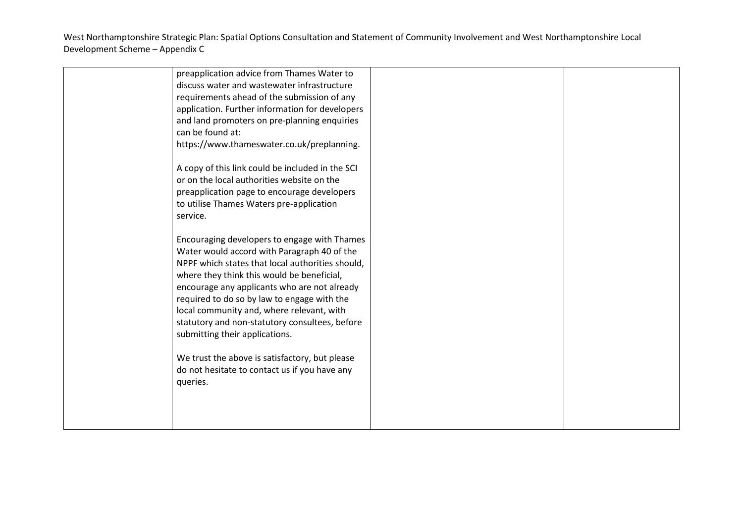| preapplication advice from Thames Water to<br>discuss water and wastewater infrastructure<br>requirements ahead of the submission of any<br>application. Further information for developers<br>and land promoters on pre-planning enquiries<br>can be found at:<br>https://www.thameswater.co.uk/preplanning.                                                                                                                                                                                                                                |  |
|----------------------------------------------------------------------------------------------------------------------------------------------------------------------------------------------------------------------------------------------------------------------------------------------------------------------------------------------------------------------------------------------------------------------------------------------------------------------------------------------------------------------------------------------|--|
| A copy of this link could be included in the SCI<br>or on the local authorities website on the<br>preapplication page to encourage developers<br>to utilise Thames Waters pre-application<br>service.                                                                                                                                                                                                                                                                                                                                        |  |
| Encouraging developers to engage with Thames<br>Water would accord with Paragraph 40 of the<br>NPPF which states that local authorities should,<br>where they think this would be beneficial,<br>encourage any applicants who are not already<br>required to do so by law to engage with the<br>local community and, where relevant, with<br>statutory and non-statutory consultees, before<br>submitting their applications.<br>We trust the above is satisfactory, but please<br>do not hesitate to contact us if you have any<br>queries. |  |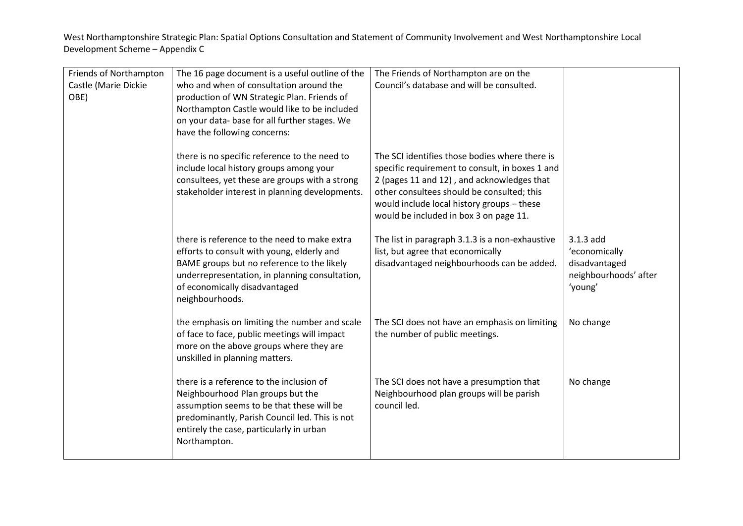| Friends of Northampton | The 16 page document is a useful outline of the | The Friends of Northampton are on the           |                       |
|------------------------|-------------------------------------------------|-------------------------------------------------|-----------------------|
| Castle (Marie Dickie   | who and when of consultation around the         | Council's database and will be consulted.       |                       |
| OBE)                   | production of WN Strategic Plan. Friends of     |                                                 |                       |
|                        | Northampton Castle would like to be included    |                                                 |                       |
|                        | on your data- base for all further stages. We   |                                                 |                       |
|                        | have the following concerns:                    |                                                 |                       |
|                        |                                                 |                                                 |                       |
|                        | there is no specific reference to the need to   | The SCI identifies those bodies where there is  |                       |
|                        | include local history groups among your         | specific requirement to consult, in boxes 1 and |                       |
|                        | consultees, yet these are groups with a strong  | 2 (pages 11 and 12), and acknowledges that      |                       |
|                        | stakeholder interest in planning developments.  | other consultees should be consulted; this      |                       |
|                        |                                                 | would include local history groups - these      |                       |
|                        |                                                 | would be included in box 3 on page 11.          |                       |
|                        |                                                 |                                                 |                       |
|                        | there is reference to the need to make extra    | The list in paragraph 3.1.3 is a non-exhaustive | $3.1.3$ add           |
|                        | efforts to consult with young, elderly and      | list, but agree that economically               | 'economically         |
|                        | BAME groups but no reference to the likely      | disadvantaged neighbourhoods can be added.      | disadvantaged         |
|                        | underrepresentation, in planning consultation,  |                                                 | neighbourhoods' after |
|                        | of economically disadvantaged                   |                                                 | 'young'               |
|                        | neighbourhoods.                                 |                                                 |                       |
|                        | the emphasis on limiting the number and scale   | The SCI does not have an emphasis on limiting   | No change             |
|                        | of face to face, public meetings will impact    | the number of public meetings.                  |                       |
|                        | more on the above groups where they are         |                                                 |                       |
|                        | unskilled in planning matters.                  |                                                 |                       |
|                        |                                                 |                                                 |                       |
|                        | there is a reference to the inclusion of        | The SCI does not have a presumption that        | No change             |
|                        | Neighbourhood Plan groups but the               | Neighbourhood plan groups will be parish        |                       |
|                        | assumption seems to be that these will be       | council led.                                    |                       |
|                        | predominantly, Parish Council led. This is not  |                                                 |                       |
|                        | entirely the case, particularly in urban        |                                                 |                       |
|                        | Northampton.                                    |                                                 |                       |
|                        |                                                 |                                                 |                       |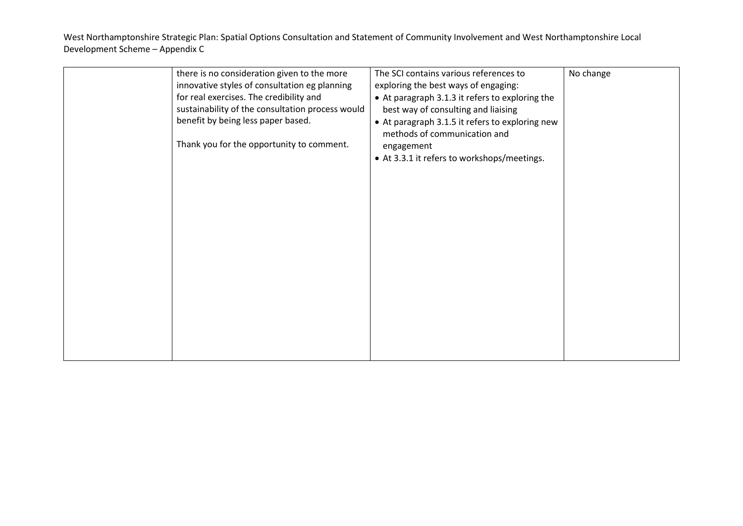| there is no consideration given to the more<br>innovative styles of consultation eg planning                                      | The SCI contains various references to<br>exploring the best ways of engaging:                                                            | No change |
|-----------------------------------------------------------------------------------------------------------------------------------|-------------------------------------------------------------------------------------------------------------------------------------------|-----------|
| for real exercises. The credibility and<br>sustainability of the consultation process would<br>benefit by being less paper based. | • At paragraph 3.1.3 it refers to exploring the<br>best way of consulting and liaising<br>• At paragraph 3.1.5 it refers to exploring new |           |
| Thank you for the opportunity to comment.                                                                                         | methods of communication and<br>engagement<br>• At 3.3.1 it refers to workshops/meetings.                                                 |           |
|                                                                                                                                   |                                                                                                                                           |           |
|                                                                                                                                   |                                                                                                                                           |           |
|                                                                                                                                   |                                                                                                                                           |           |
|                                                                                                                                   |                                                                                                                                           |           |
|                                                                                                                                   |                                                                                                                                           |           |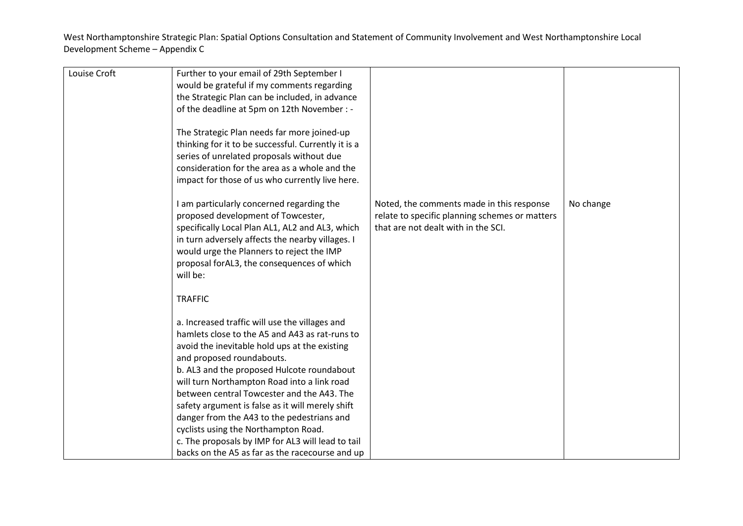| Louise Croft | Further to your email of 29th September I                                                                                                                                                                                                                                                        |                                                |           |
|--------------|--------------------------------------------------------------------------------------------------------------------------------------------------------------------------------------------------------------------------------------------------------------------------------------------------|------------------------------------------------|-----------|
|              |                                                                                                                                                                                                                                                                                                  |                                                |           |
|              | would be grateful if my comments regarding                                                                                                                                                                                                                                                       |                                                |           |
|              | the Strategic Plan can be included, in advance                                                                                                                                                                                                                                                   |                                                |           |
|              | of the deadline at 5pm on 12th November : -                                                                                                                                                                                                                                                      |                                                |           |
|              | The Strategic Plan needs far more joined-up<br>thinking for it to be successful. Currently it is a<br>series of unrelated proposals without due<br>consideration for the area as a whole and the<br>impact for those of us who currently live here.<br>I am particularly concerned regarding the | Noted, the comments made in this response      | No change |
|              | proposed development of Towcester,                                                                                                                                                                                                                                                               | relate to specific planning schemes or matters |           |
|              | specifically Local Plan AL1, AL2 and AL3, which                                                                                                                                                                                                                                                  | that are not dealt with in the SCI.            |           |
|              | in turn adversely affects the nearby villages. I                                                                                                                                                                                                                                                 |                                                |           |
|              | would urge the Planners to reject the IMP                                                                                                                                                                                                                                                        |                                                |           |
|              | proposal forAL3, the consequences of which                                                                                                                                                                                                                                                       |                                                |           |
|              | will be:                                                                                                                                                                                                                                                                                         |                                                |           |
|              |                                                                                                                                                                                                                                                                                                  |                                                |           |
|              | <b>TRAFFIC</b>                                                                                                                                                                                                                                                                                   |                                                |           |
|              | a. Increased traffic will use the villages and                                                                                                                                                                                                                                                   |                                                |           |
|              | hamlets close to the A5 and A43 as rat-runs to                                                                                                                                                                                                                                                   |                                                |           |
|              | avoid the inevitable hold ups at the existing                                                                                                                                                                                                                                                    |                                                |           |
|              | and proposed roundabouts.                                                                                                                                                                                                                                                                        |                                                |           |
|              | b. AL3 and the proposed Hulcote roundabout                                                                                                                                                                                                                                                       |                                                |           |
|              | will turn Northampton Road into a link road                                                                                                                                                                                                                                                      |                                                |           |
|              | between central Towcester and the A43. The                                                                                                                                                                                                                                                       |                                                |           |
|              | safety argument is false as it will merely shift                                                                                                                                                                                                                                                 |                                                |           |
|              | danger from the A43 to the pedestrians and                                                                                                                                                                                                                                                       |                                                |           |
|              | cyclists using the Northampton Road.                                                                                                                                                                                                                                                             |                                                |           |
|              | c. The proposals by IMP for AL3 will lead to tail                                                                                                                                                                                                                                                |                                                |           |
|              | backs on the A5 as far as the racecourse and up                                                                                                                                                                                                                                                  |                                                |           |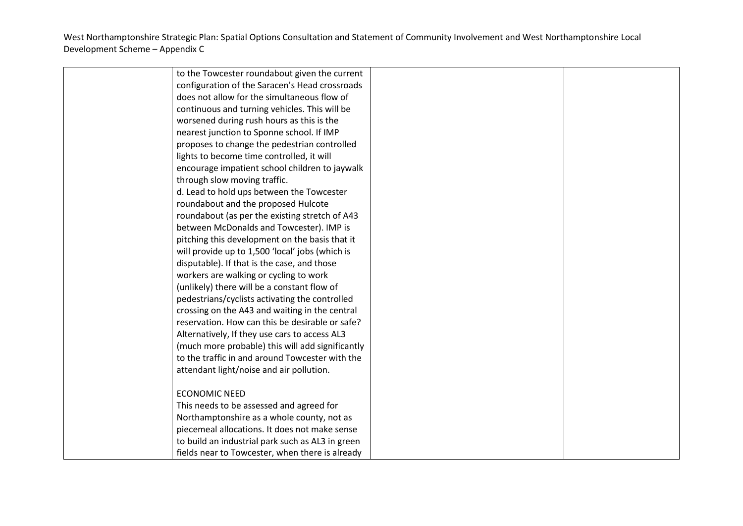| to the Towcester roundabout given the current    |  |
|--------------------------------------------------|--|
| configuration of the Saracen's Head crossroads   |  |
| does not allow for the simultaneous flow of      |  |
| continuous and turning vehicles. This will be    |  |
| worsened during rush hours as this is the        |  |
| nearest junction to Sponne school. If IMP        |  |
| proposes to change the pedestrian controlled     |  |
| lights to become time controlled, it will        |  |
| encourage impatient school children to jaywalk   |  |
| through slow moving traffic.                     |  |
| d. Lead to hold ups between the Towcester        |  |
| roundabout and the proposed Hulcote              |  |
| roundabout (as per the existing stretch of A43   |  |
| between McDonalds and Towcester). IMP is         |  |
| pitching this development on the basis that it   |  |
| will provide up to 1,500 'local' jobs (which is  |  |
| disputable). If that is the case, and those      |  |
| workers are walking or cycling to work           |  |
| (unlikely) there will be a constant flow of      |  |
| pedestrians/cyclists activating the controlled   |  |
| crossing on the A43 and waiting in the central   |  |
| reservation. How can this be desirable or safe?  |  |
| Alternatively, If they use cars to access AL3    |  |
| (much more probable) this will add significantly |  |
| to the traffic in and around Towcester with the  |  |
| attendant light/noise and air pollution.         |  |
|                                                  |  |
| <b>ECONOMIC NEED</b>                             |  |
| This needs to be assessed and agreed for         |  |
| Northamptonshire as a whole county, not as       |  |
| piecemeal allocations. It does not make sense    |  |
| to build an industrial park such as AL3 in green |  |
| fields near to Towcester, when there is already  |  |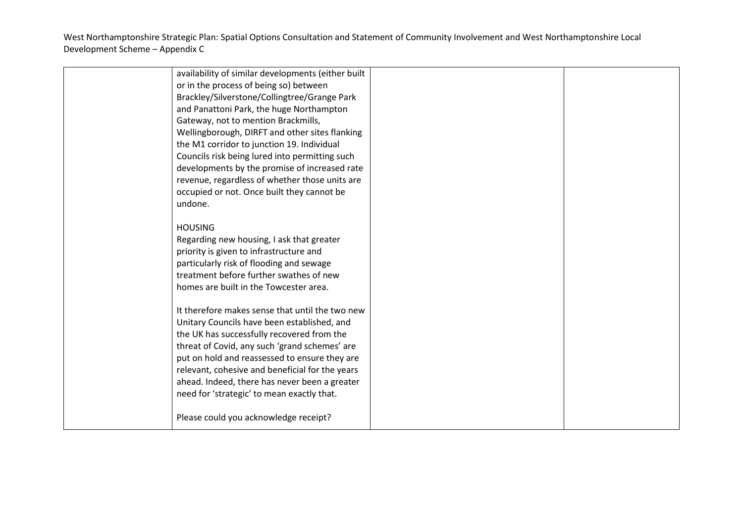| availability of similar developments (either built |  |
|----------------------------------------------------|--|
| or in the process of being so) between             |  |
| Brackley/Silverstone/Collingtree/Grange Park       |  |
| and Panattoni Park, the huge Northampton           |  |
| Gateway, not to mention Brackmills,                |  |
| Wellingborough, DIRFT and other sites flanking     |  |
| the M1 corridor to junction 19. Individual         |  |
| Councils risk being lured into permitting such     |  |
| developments by the promise of increased rate      |  |
| revenue, regardless of whether those units are     |  |
| occupied or not. Once built they cannot be         |  |
| undone.                                            |  |
|                                                    |  |
| <b>HOUSING</b>                                     |  |
| Regarding new housing, I ask that greater          |  |
| priority is given to infrastructure and            |  |
| particularly risk of flooding and sewage           |  |
| treatment before further swathes of new            |  |
|                                                    |  |
| homes are built in the Towcester area.             |  |
| It therefore makes sense that until the two new    |  |
|                                                    |  |
| Unitary Councils have been established, and        |  |
| the UK has successfully recovered from the         |  |
| threat of Covid, any such 'grand schemes' are      |  |
| put on hold and reassessed to ensure they are      |  |
| relevant, cohesive and beneficial for the years    |  |
| ahead. Indeed, there has never been a greater      |  |
| need for 'strategic' to mean exactly that.         |  |
|                                                    |  |
| Please could you acknowledge receipt?              |  |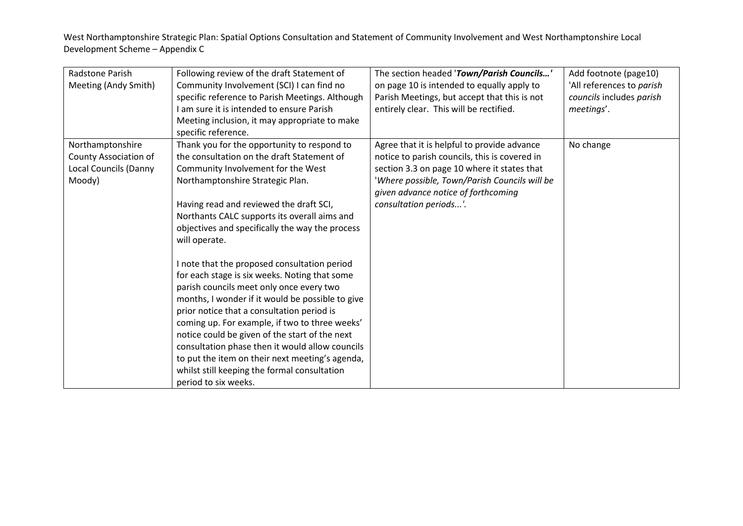| Radstone Parish              | Following review of the draft Statement of       | The section headed 'Town/Parish Councils'     | Add footnote (page10)     |
|------------------------------|--------------------------------------------------|-----------------------------------------------|---------------------------|
| Meeting (Andy Smith)         | Community Involvement (SCI) I can find no        | on page 10 is intended to equally apply to    | 'All references to parish |
|                              | specific reference to Parish Meetings. Although  | Parish Meetings, but accept that this is not  | councils includes parish  |
|                              | I am sure it is intended to ensure Parish        | entirely clear. This will be rectified.       | meetings'.                |
|                              | Meeting inclusion, it may appropriate to make    |                                               |                           |
|                              | specific reference.                              |                                               |                           |
| Northamptonshire             | Thank you for the opportunity to respond to      | Agree that it is helpful to provide advance   | No change                 |
| County Association of        | the consultation on the draft Statement of       | notice to parish councils, this is covered in |                           |
| <b>Local Councils (Danny</b> | Community Involvement for the West               | section 3.3 on page 10 where it states that   |                           |
| Moody)                       | Northamptonshire Strategic Plan.                 | 'Where possible, Town/Parish Councils will be |                           |
|                              |                                                  | given advance notice of forthcoming           |                           |
|                              | Having read and reviewed the draft SCI,          | consultation periods'.                        |                           |
|                              | Northants CALC supports its overall aims and     |                                               |                           |
|                              | objectives and specifically the way the process  |                                               |                           |
|                              | will operate.                                    |                                               |                           |
|                              |                                                  |                                               |                           |
|                              | I note that the proposed consultation period     |                                               |                           |
|                              | for each stage is six weeks. Noting that some    |                                               |                           |
|                              | parish councils meet only once every two         |                                               |                           |
|                              | months, I wonder if it would be possible to give |                                               |                           |
|                              | prior notice that a consultation period is       |                                               |                           |
|                              | coming up. For example, if two to three weeks'   |                                               |                           |
|                              | notice could be given of the start of the next   |                                               |                           |
|                              | consultation phase then it would allow councils  |                                               |                           |
|                              | to put the item on their next meeting's agenda,  |                                               |                           |
|                              | whilst still keeping the formal consultation     |                                               |                           |
|                              | period to six weeks.                             |                                               |                           |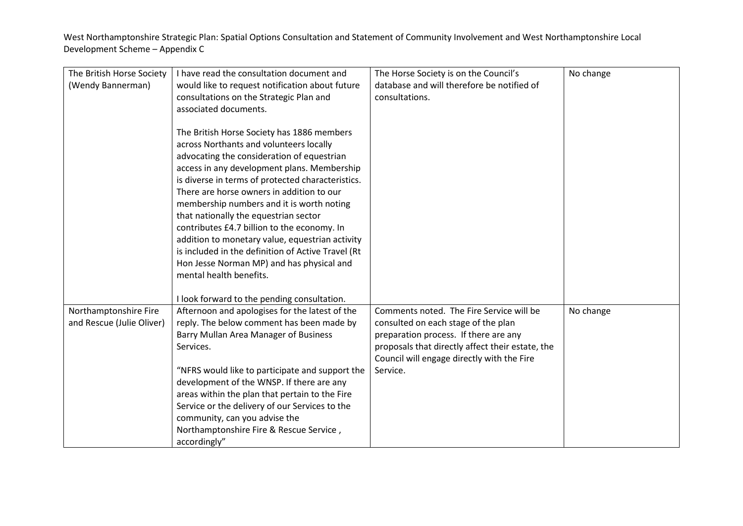| The British Horse Society | I have read the consultation document and          | The Horse Society is on the Council's            | No change |
|---------------------------|----------------------------------------------------|--------------------------------------------------|-----------|
| (Wendy Bannerman)         | would like to request notification about future    | database and will therefore be notified of       |           |
|                           | consultations on the Strategic Plan and            | consultations.                                   |           |
|                           | associated documents.                              |                                                  |           |
|                           |                                                    |                                                  |           |
|                           | The British Horse Society has 1886 members         |                                                  |           |
|                           | across Northants and volunteers locally            |                                                  |           |
|                           | advocating the consideration of equestrian         |                                                  |           |
|                           | access in any development plans. Membership        |                                                  |           |
|                           | is diverse in terms of protected characteristics.  |                                                  |           |
|                           | There are horse owners in addition to our          |                                                  |           |
|                           | membership numbers and it is worth noting          |                                                  |           |
|                           | that nationally the equestrian sector              |                                                  |           |
|                           | contributes £4.7 billion to the economy. In        |                                                  |           |
|                           | addition to monetary value, equestrian activity    |                                                  |           |
|                           | is included in the definition of Active Travel (Rt |                                                  |           |
|                           | Hon Jesse Norman MP) and has physical and          |                                                  |           |
|                           | mental health benefits.                            |                                                  |           |
|                           |                                                    |                                                  |           |
|                           | I look forward to the pending consultation.        |                                                  |           |
| Northamptonshire Fire     | Afternoon and apologises for the latest of the     | Comments noted. The Fire Service will be         | No change |
| and Rescue (Julie Oliver) | reply. The below comment has been made by          | consulted on each stage of the plan              |           |
|                           | Barry Mullan Area Manager of Business              | preparation process. If there are any            |           |
|                           | Services.                                          | proposals that directly affect their estate, the |           |
|                           |                                                    | Council will engage directly with the Fire       |           |
|                           | "NFRS would like to participate and support the    | Service.                                         |           |
|                           | development of the WNSP. If there are any          |                                                  |           |
|                           | areas within the plan that pertain to the Fire     |                                                  |           |
|                           | Service or the delivery of our Services to the     |                                                  |           |
|                           | community, can you advise the                      |                                                  |           |
|                           | Northamptonshire Fire & Rescue Service,            |                                                  |           |
|                           |                                                    |                                                  |           |
|                           | accordingly"                                       |                                                  |           |